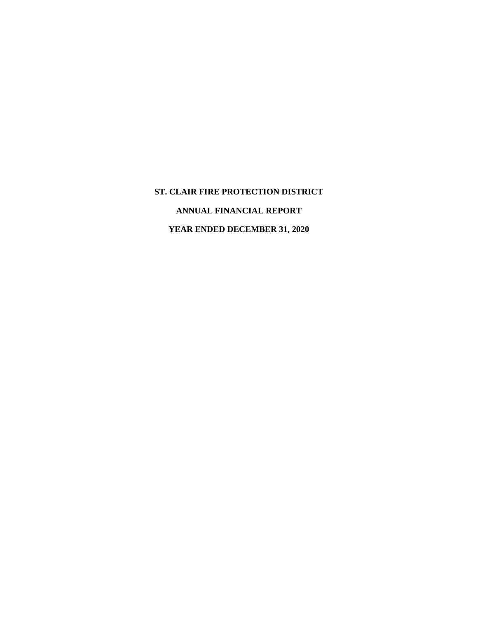**ST. CLAIR FIRE PROTECTION DISTRICT ANNUAL FINANCIAL REPORT YEAR ENDED DECEMBER 31, 2020**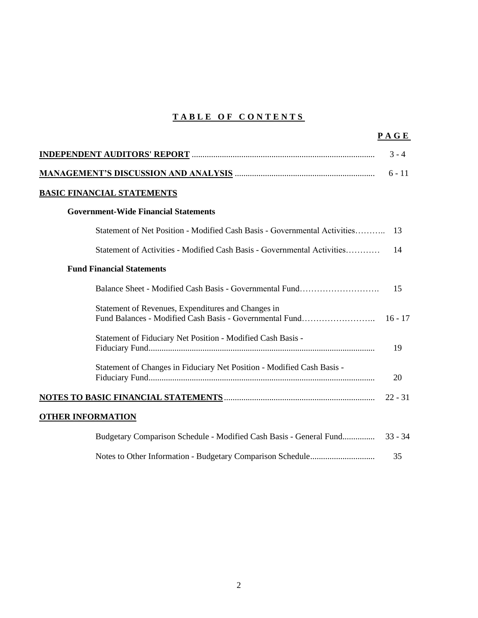# **T A B L E O F C O N T E N T S**

|                                                                                                               | $3 - 4$   |
|---------------------------------------------------------------------------------------------------------------|-----------|
|                                                                                                               | $6 - 11$  |
| <b>BASIC FINANCIAL STATEMENTS</b>                                                                             |           |
| <b>Government-Wide Financial Statements</b>                                                                   |           |
| Statement of Net Position - Modified Cash Basis - Governmental Activities                                     | 13        |
| Statement of Activities - Modified Cash Basis - Governmental Activities                                       | 14        |
| <b>Fund Financial Statements</b>                                                                              |           |
| Balance Sheet - Modified Cash Basis - Governmental Fund                                                       | 15        |
| Statement of Revenues, Expenditures and Changes in<br>Fund Balances - Modified Cash Basis - Governmental Fund | $16 - 17$ |
| Statement of Fiduciary Net Position - Modified Cash Basis -                                                   | 19        |
| Statement of Changes in Fiduciary Net Position - Modified Cash Basis -                                        | 20        |
|                                                                                                               | $22 - 31$ |
| <b>OTHER INFORMATION</b>                                                                                      |           |
|                                                                                                               |           |

Notes to Other Information - Budgetary Comparison Schedule.............................. 35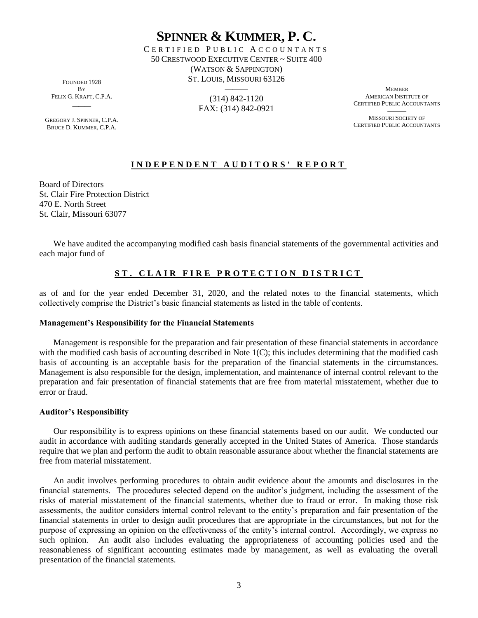**SPINNER & KUMMER, P. C.**

CERTIFIED PUBLIC ACCOUNTANTS 50 CRESTWOOD EXECUTIVE CENTER ~ SUITE 400 (WATSON & SAPPINGTON) ST. LOUIS, MISSOURI 63126

FOUNDED 1928 **B**Y FELIX G. KRAFT, C.P.A. ———

GREGORY J. SPINNER, C.P.A. BRUCE D. KUMMER, C.P.A.

(314) 842-1120 FAX: (314) 842-0921

*———*

**MEMBER** AMERICAN INSTITUTE OF CERTIFIED PUBLIC ACCOUNTANTS

——— MISSOURI SOCIETY OF CERTIFIED PUBLIC ACCOUNTANTS

# **I N D E P E N D E N T A U D I T O R S ' R E P O R T**

Board of Directors St. Clair Fire Protection District 470 E. North Street St. Clair, Missouri 63077

We have audited the accompanying modified cash basis financial statements of the governmental activities and each major fund of

### **ST. CLAIR FIRE PROTECTION DISTRICT**

as of and for the year ended December 31, 2020, and the related notes to the financial statements, which collectively comprise the District's basic financial statements as listed in the table of contents.

#### **Management's Responsibility for the Financial Statements**

Management is responsible for the preparation and fair presentation of these financial statements in accordance with the modified cash basis of accounting described in Note 1(C); this includes determining that the modified cash basis of accounting is an acceptable basis for the preparation of the financial statements in the circumstances. Management is also responsible for the design, implementation, and maintenance of internal control relevant to the preparation and fair presentation of financial statements that are free from material misstatement, whether due to error or fraud.

#### **Auditor's Responsibility**

Our responsibility is to express opinions on these financial statements based on our audit. We conducted our audit in accordance with auditing standards generally accepted in the United States of America. Those standards require that we plan and perform the audit to obtain reasonable assurance about whether the financial statements are free from material misstatement.

An audit involves performing procedures to obtain audit evidence about the amounts and disclosures in the financial statements. The procedures selected depend on the auditor's judgment, including the assessment of the risks of material misstatement of the financial statements, whether due to fraud or error. In making those risk assessments, the auditor considers internal control relevant to the entity's preparation and fair presentation of the financial statements in order to design audit procedures that are appropriate in the circumstances, but not for the purpose of expressing an opinion on the effectiveness of the entity's internal control. Accordingly, we express no such opinion. An audit also includes evaluating the appropriateness of accounting policies used and the reasonableness of significant accounting estimates made by management, as well as evaluating the overall presentation of the financial statements.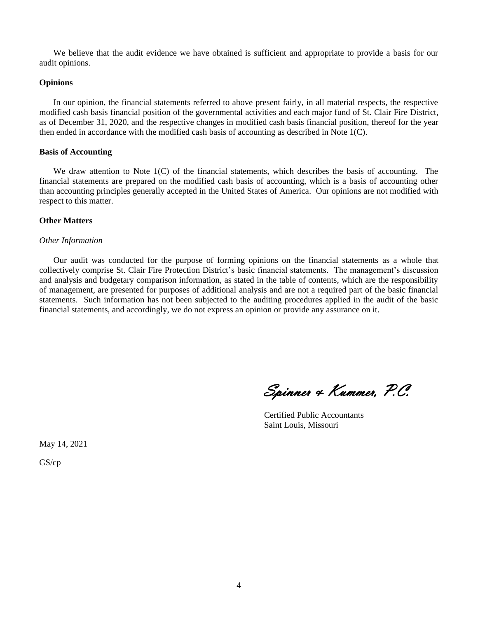We believe that the audit evidence we have obtained is sufficient and appropriate to provide a basis for our audit opinions.

#### **Opinions**

In our opinion, the financial statements referred to above present fairly, in all material respects, the respective modified cash basis financial position of the governmental activities and each major fund of St. Clair Fire District, as of December 31, 2020, and the respective changes in modified cash basis financial position, thereof for the year then ended in accordance with the modified cash basis of accounting as described in Note 1(C).

#### **Basis of Accounting**

We draw attention to Note 1(C) of the financial statements, which describes the basis of accounting. The financial statements are prepared on the modified cash basis of accounting, which is a basis of accounting other than accounting principles generally accepted in the United States of America. Our opinions are not modified with respect to this matter.

#### **Other Matters**

#### *Other Information*

Our audit was conducted for the purpose of forming opinions on the financial statements as a whole that collectively comprise St. Clair Fire Protection District's basic financial statements. The management's discussion and analysis and budgetary comparison information, as stated in the table of contents, which are the responsibility of management, are presented for purposes of additional analysis and are not a required part of the basic financial statements. Such information has not been subjected to the auditing procedures applied in the audit of the basic financial statements, and accordingly, we do not express an opinion or provide any assurance on it.

Spinner & Kummer, P.C.

Certified Public Accountants Saint Louis, Missouri

May 14, 2021

GS/cp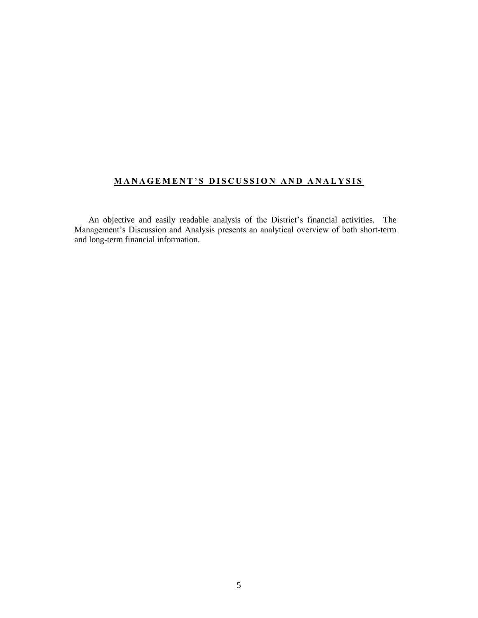# **MANAGEMENT'S DISCUSSION AND ANALYSIS**

An objective and easily readable analysis of the District's financial activities. The Management's Discussion and Analysis presents an analytical overview of both short-term and long-term financial information.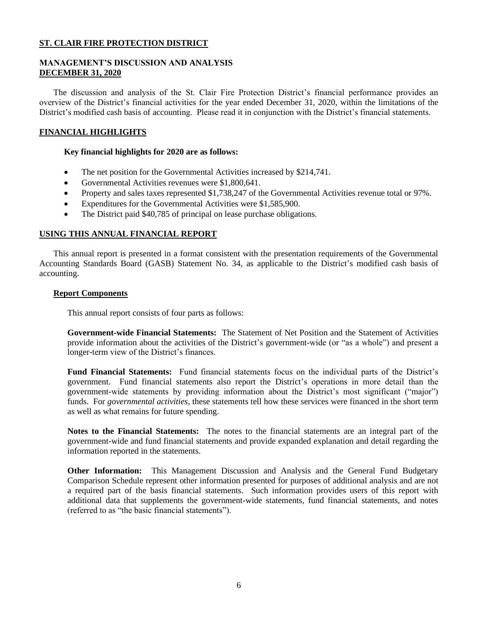## **MANAGEMENT'S DISCUSSION AND ANALYSIS DECEMBER 31, 2020**

The discussion and analysis of the St. Clair Fire Protection District's financial performance provides an overview of the District's financial activities for the year ended December 31, 2020, within the limitations of the District's modified cash basis of accounting. Please read it in conjunction with the District's financial statements.

## **FINANCIAL HIGHLIGHTS**

### **Key financial highlights for 2020 are as follows:**

- The net position for the Governmental Activities increased by \$214,741.
- Governmental Activities revenues were \$1,800,641.
- Property and sales taxes represented \$1,738,247 of the Governmental Activities revenue total or 97%.
- Expenditures for the Governmental Activities were \$1,585,900.
- The District paid \$40,785 of principal on lease purchase obligations.

### **USING THIS ANNUAL FINANCIAL REPORT**

This annual report is presented in a format consistent with the presentation requirements of the Governmental Accounting Standards Board (GASB) Statement No. 34, as applicable to the District's modified cash basis of accounting.

### **Report Components**

This annual report consists of four parts as follows:

**Government-wide Financial Statements:** The Statement of Net Position and the Statement of Activities provide information about the activities of the District's government-wide (or "as a whole") and present a longer-term view of the District's finances.

**Fund Financial Statements:** Fund financial statements focus on the individual parts of the District's government. Fund financial statements also report the District's operations in more detail than the government-wide statements by providing information about the District's most significant ("major") funds. For *governmental activities,* these statements tell how these services were financed in the short term as well as what remains for future spending.

**Notes to the Financial Statements:** The notes to the financial statements are an integral part of the government-wide and fund financial statements and provide expanded explanation and detail regarding the information reported in the statements.

**Other Information:** This Management Discussion and Analysis and the General Fund Budgetary Comparison Schedule represent other information presented for purposes of additional analysis and are not a required part of the basis financial statements. Such information provides users of this report with additional data that supplements the government-wide statements, fund financial statements, and notes (referred to as "the basic financial statements").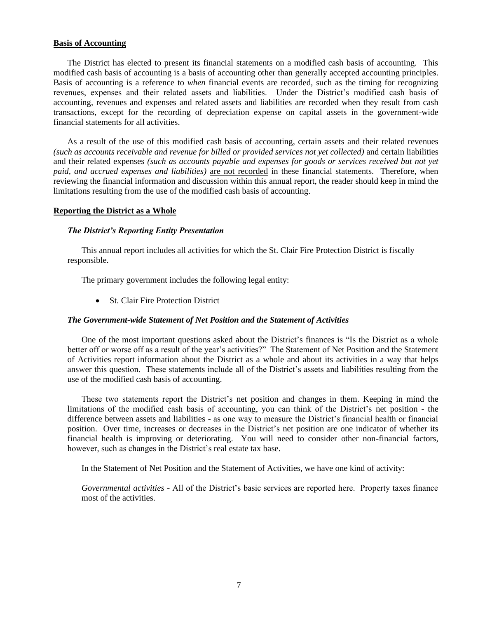### **Basis of Accounting**

The District has elected to present its financial statements on a modified cash basis of accounting. This modified cash basis of accounting is a basis of accounting other than generally accepted accounting principles. Basis of accounting is a reference to *when* financial events are recorded, such as the timing for recognizing revenues, expenses and their related assets and liabilities. Under the District's modified cash basis of accounting, revenues and expenses and related assets and liabilities are recorded when they result from cash transactions, except for the recording of depreciation expense on capital assets in the government-wide financial statements for all activities.

As a result of the use of this modified cash basis of accounting, certain assets and their related revenues *(such as accounts receivable and revenue for billed or provided services not yet collected)* and certain liabilities and their related expenses *(such as accounts payable and expenses for goods or services received but not yet paid, and accrued expenses and liabilities)* are not recorded in these financial statements. Therefore, when reviewing the financial information and discussion within this annual report, the reader should keep in mind the limitations resulting from the use of the modified cash basis of accounting.

#### **Reporting the District as a Whole**

#### *The District's Reporting Entity Presentation*

This annual report includes all activities for which the St. Clair Fire Protection District is fiscally responsible.

The primary government includes the following legal entity:

• St. Clair Fire Protection District

#### *The Government-wide Statement of Net Position and the Statement of Activities*

One of the most important questions asked about the District's finances is "Is the District as a whole better off or worse off as a result of the year's activities?" The Statement of Net Position and the Statement of Activities report information about the District as a whole and about its activities in a way that helps answer this question. These statements include all of the District's assets and liabilities resulting from the use of the modified cash basis of accounting.

These two statements report the District's net position and changes in them. Keeping in mind the limitations of the modified cash basis of accounting, you can think of the District's net position - the difference between assets and liabilities - as one way to measure the District's financial health or financial position. Over time, increases or decreases in the District's net position are one indicator of whether its financial health is improving or deteriorating. You will need to consider other non-financial factors, however, such as changes in the District's real estate tax base.

In the Statement of Net Position and the Statement of Activities, we have one kind of activity:

*Governmental activities* - All of the District's basic services are reported here. Property taxes finance most of the activities.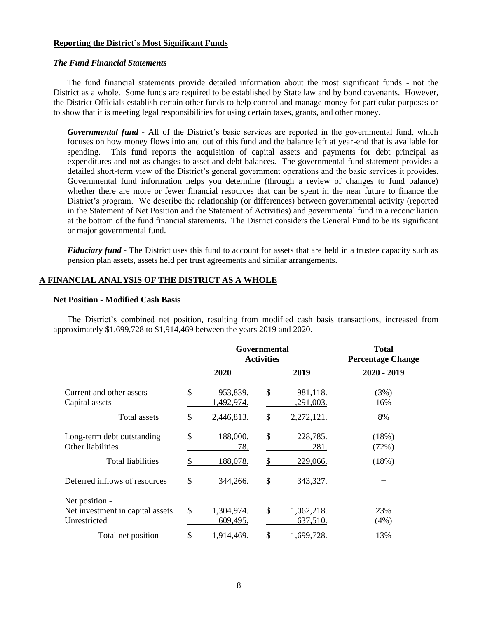### **Reporting the District's Most Significant Funds**

#### *The Fund Financial Statements*

The fund financial statements provide detailed information about the most significant funds - not the District as a whole. Some funds are required to be established by State law and by bond covenants. However, the District Officials establish certain other funds to help control and manage money for particular purposes or to show that it is meeting legal responsibilities for using certain taxes, grants, and other money.

*Governmental fund* - All of the District's basic services are reported in the governmental fund, which focuses on how money flows into and out of this fund and the balance left at year-end that is available for spending. This fund reports the acquisition of capital assets and payments for debt principal as expenditures and not as changes to asset and debt balances. The governmental fund statement provides a detailed short-term view of the District's general government operations and the basic services it provides. Governmental fund information helps you determine (through a review of changes to fund balance) whether there are more or fewer financial resources that can be spent in the near future to finance the District's program. We describe the relationship (or differences) between governmental activity (reported in the Statement of Net Position and the Statement of Activities) and governmental fund in a reconciliation at the bottom of the fund financial statements. The District considers the General Fund to be its significant or major governmental fund.

*Fiduciary fund* - The District uses this fund to account for assets that are held in a trustee capacity such as pension plan assets, assets held per trust agreements and similar arrangements.

### **A FINANCIAL ANALYSIS OF THE DISTRICT AS A WHOLE**

#### **Net Position - Modified Cash Basis**

The District's combined net position, resulting from modified cash basis transactions, increased from approximately \$1,699,728 to \$1,914,469 between the years 2019 and 2020.

|                                                                    | Governmental<br><b>Activities</b>   |               |                        | <b>Total</b><br><b>Percentage Change</b> |
|--------------------------------------------------------------------|-------------------------------------|---------------|------------------------|------------------------------------------|
|                                                                    | 2020                                |               | 2019                   | $2020 - 2019$                            |
| Current and other assets<br>Capital assets                         | \$<br>953,839.<br><u>1,492,974.</u> | \$            | 981,118.<br>1,291,003. | (3%)<br>16%                              |
| Total assets                                                       | \$<br>2,446,813.                    | \$            | 2,272,121.             | 8%                                       |
| Long-term debt outstanding<br>Other liabilities                    | \$<br>188,000.<br>78.               | \$            | 228,785.<br>281.       | (18%)<br>(72%)                           |
| <b>Total liabilities</b>                                           | \$<br>188,078.                      | \$            | 229,066.               | (18%)                                    |
| Deferred inflows of resources                                      | \$<br>344,266.                      | \$            | 343,327.               |                                          |
| Net position -<br>Net investment in capital assets<br>Unrestricted | \$<br>1,304,974.<br>609,495.        | $\mathcal{S}$ | 1,062,218.<br>637,510. | 23%<br>(4%)                              |
| Total net position                                                 | \$<br>1,914,469.                    | \$            | <u>1,699,728.</u>      | 13%                                      |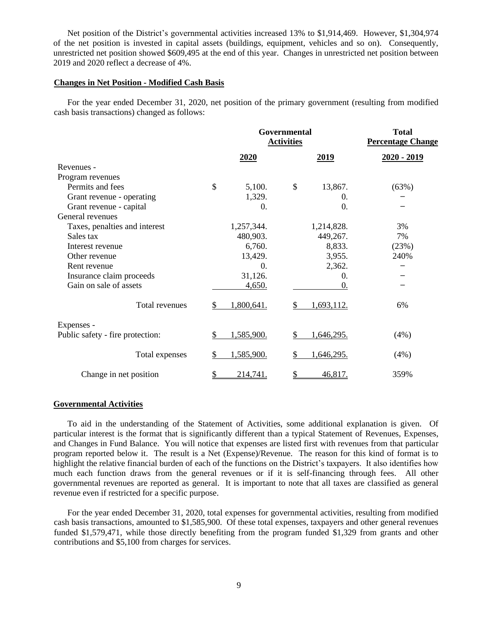Net position of the District's governmental activities increased 13% to \$1,914,469. However, \$1,304,974 of the net position is invested in capital assets (buildings, equipment, vehicles and so on). Consequently, unrestricted net position showed \$609,495 at the end of this year. Changes in unrestricted net position between 2019 and 2020 reflect a decrease of 4%.

#### **Changes in Net Position - Modified Cash Basis**

For the year ended December 31, 2020, net position of the primary government (resulting from modified cash basis transactions) changed as follows:

|                                  |           | Governmental<br><b>Activities</b> |    |             | <b>Total</b><br><b>Percentage Change</b> |  |
|----------------------------------|-----------|-----------------------------------|----|-------------|------------------------------------------|--|
|                                  |           | <b>2020</b>                       |    | <u>2019</u> | <u> 2020 - 2019</u>                      |  |
| Revenues -                       |           |                                   |    |             |                                          |  |
| Program revenues                 |           |                                   |    |             |                                          |  |
| Permits and fees                 | \$        | 5,100.                            | \$ | 13,867.     | (63%)                                    |  |
| Grant revenue - operating        |           | 1,329.                            |    | 0.          |                                          |  |
| Grant revenue - capital          |           | 0.                                |    | 0.          |                                          |  |
| General revenues                 |           |                                   |    |             |                                          |  |
| Taxes, penalties and interest    |           | 1,257,344.                        |    | 1,214,828.  | 3%                                       |  |
| Sales tax                        |           | 480,903.                          |    | 449,267.    | 7%                                       |  |
| Interest revenue                 |           | 6,760.                            |    | 8,833.      | (23%)                                    |  |
| Other revenue                    |           | 13,429.                           |    | 3,955.      | 240%                                     |  |
| Rent revenue                     |           | $\theta$ .                        |    | 2,362.      |                                          |  |
| Insurance claim proceeds         |           | 31,126.                           |    | 0.          |                                          |  |
| Gain on sale of assets           |           | 4,650.                            |    | 0.          |                                          |  |
| Total revenues                   | S         | 1,800,641.                        |    | 1,693,112.  | 6%                                       |  |
| Expenses -                       |           |                                   |    |             |                                          |  |
| Public safety - fire protection: | \$        | 1,585,900.                        | \$ | 1,646,295.  | (4%)                                     |  |
| Total expenses                   | S         | 1,585,900.                        |    | 1,646,295.  | (4%)                                     |  |
| Change in net position           | <u>\$</u> | 214,741.                          |    | 46,817.     | 359%                                     |  |

#### **Governmental Activities**

To aid in the understanding of the Statement of Activities, some additional explanation is given. Of particular interest is the format that is significantly different than a typical Statement of Revenues, Expenses, and Changes in Fund Balance. You will notice that expenses are listed first with revenues from that particular program reported below it. The result is a Net (Expense)/Revenue. The reason for this kind of format is to highlight the relative financial burden of each of the functions on the District's taxpayers. It also identifies how much each function draws from the general revenues or if it is self-financing through fees. All other governmental revenues are reported as general. It is important to note that all taxes are classified as general revenue even if restricted for a specific purpose.

For the year ended December 31, 2020, total expenses for governmental activities, resulting from modified cash basis transactions, amounted to \$1,585,900. Of these total expenses, taxpayers and other general revenues funded \$1,579,471, while those directly benefiting from the program funded \$1,329 from grants and other contributions and \$5,100 from charges for services.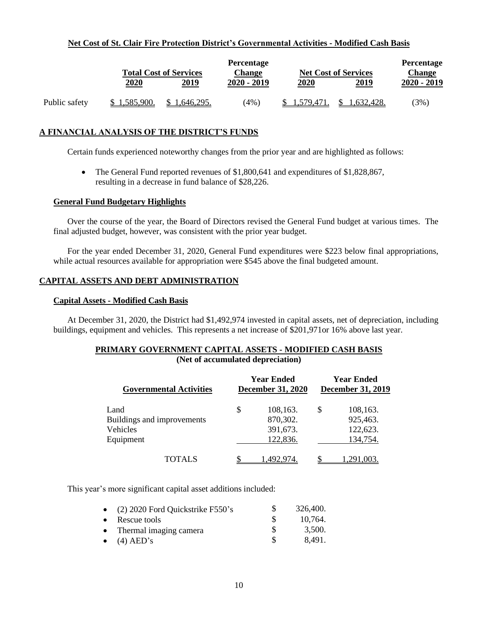# **Net Cost of St. Clair Fire Protection District's Governmental Activities - Modified Cash Basis**

|               |              | <b>Percentage</b>             |                                              |             | Percentage    |               |
|---------------|--------------|-------------------------------|----------------------------------------------|-------------|---------------|---------------|
|               |              | <b>Total Cost of Services</b> | <b>Net Cost of Services</b><br><b>Change</b> |             | <b>Change</b> |               |
|               | <u> 2020</u> | 2019                          | $2020 - 2019$                                | <b>2020</b> | <u>2019</u>   | $2020 - 2019$ |
| Public safety | \$1,585,900. | \$1,646,295.                  | (4%)                                         | 1,579,471.  | 1,632,428.    | (3%)          |

## **A FINANCIAL ANALYSIS OF THE DISTRICT'S FUNDS**

Certain funds experienced noteworthy changes from the prior year and are highlighted as follows:

• The General Fund reported revenues of \$1,800,641 and expenditures of \$1,828,867, resulting in a decrease in fund balance of \$28,226.

### **General Fund Budgetary Highlights**

Over the course of the year, the Board of Directors revised the General Fund budget at various times. The final adjusted budget, however, was consistent with the prior year budget.

For the year ended December 31, 2020, General Fund expenditures were \$223 below final appropriations, while actual resources available for appropriation were \$545 above the final budgeted amount.

### **CAPITAL ASSETS AND DEBT ADMINISTRATION**

#### **Capital Assets - Modified Cash Basis**

At December 31, 2020, the District had \$1,492,974 invested in capital assets, net of depreciation, including buildings, equipment and vehicles. This represents a net increase of \$201,971or 16% above last year.

### **PRIMARY GOVERNMENT CAPITAL ASSETS - MODIFIED CASH BASIS (Net of accumulated depreciation)**

| <b>Governmental Activities</b>                              | <b>Year Ended</b><br><b>December 31, 2020</b>      |   | <b>Year Ended</b><br><b>December 31, 2019</b> |  |  |
|-------------------------------------------------------------|----------------------------------------------------|---|-----------------------------------------------|--|--|
| Land<br>Buildings and improvements<br>Vehicles<br>Equipment | \$<br>108,163.<br>870,302.<br>391,673.<br>122,836. | S | 108,163.<br>925,463.<br>122,623.<br>134,754.  |  |  |
| <b>TOTALS</b>                                               | 1.492,974.                                         |   | 1.291.003.                                    |  |  |

This year's more significant capital asset additions included:

| $\bullet$ (2) 2020 Ford Quickstrike F550's |    | 326,400. |
|--------------------------------------------|----|----------|
| $\bullet$ Rescue tools                     | æ, | 10.764.  |
| • Thermal imaging camera                   | -S | 3.500.   |
| $\bullet$ (4) AED's                        | -S | 8.491.   |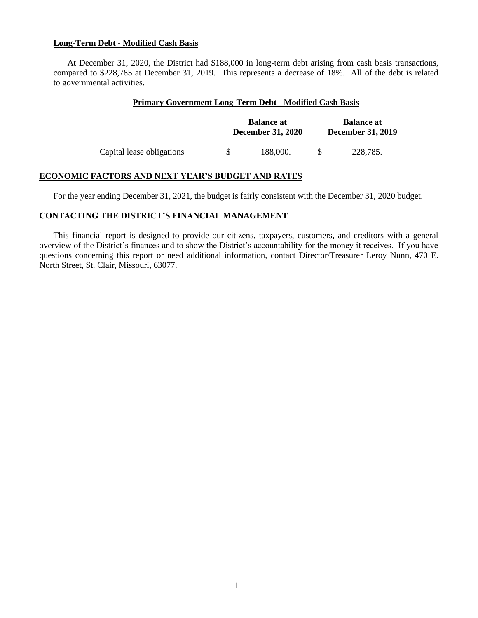### **Long-Term Debt - Modified Cash Basis**

At December 31, 2020, the District had \$188,000 in long-term debt arising from cash basis transactions, compared to \$228,785 at December 31, 2019. This represents a decrease of 18%. All of the debt is related to governmental activities.

### **Primary Government Long-Term Debt - Modified Cash Basis**

|                           | <b>Balance at</b><br><b>December 31, 2020</b> | <b>Balance at</b><br><b>December 31, 2019</b> |  |
|---------------------------|-----------------------------------------------|-----------------------------------------------|--|
| Capital lease obligations | 188.000.                                      | 228.785.                                      |  |

### **ECONOMIC FACTORS AND NEXT YEAR'S BUDGET AND RATES**

For the year ending December 31, 2021, the budget is fairly consistent with the December 31, 2020 budget.

### **CONTACTING THE DISTRICT'S FINANCIAL MANAGEMENT**

This financial report is designed to provide our citizens, taxpayers, customers, and creditors with a general overview of the District's finances and to show the District's accountability for the money it receives. If you have questions concerning this report or need additional information, contact Director/Treasurer Leroy Nunn, 470 E. North Street, St. Clair, Missouri, 63077.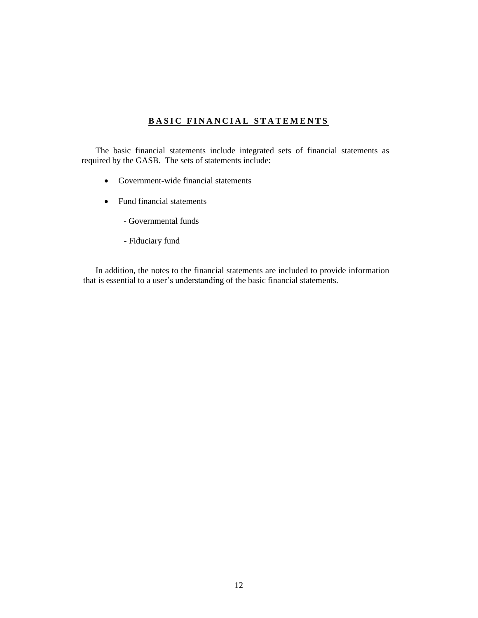# **BASIC FINANCIAL STATEMENTS**

The basic financial statements include integrated sets of financial statements as required by the GASB. The sets of statements include:

- Government-wide financial statements
- Fund financial statements
	- Governmental funds
	- Fiduciary fund

In addition, the notes to the financial statements are included to provide information that is essential to a user's understanding of the basic financial statements.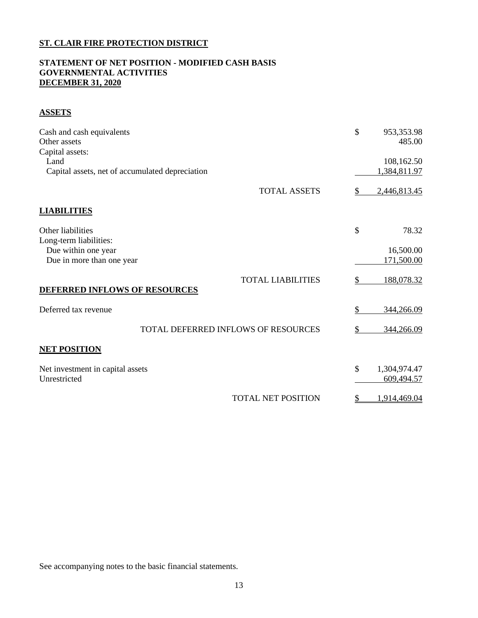# **STATEMENT OF NET POSITION - MODIFIED CASH BASIS GOVERNMENTAL ACTIVITIES DECEMBER 31, 2020**

# **ASSETS**

| Cash and cash equivalents<br>Other assets                                                       | \$<br>953,353.98<br>485.00             |
|-------------------------------------------------------------------------------------------------|----------------------------------------|
| Capital assets:<br>Land<br>Capital assets, net of accumulated depreciation                      | 108,162.50<br>1,384,811.97             |
| <b>TOTAL ASSETS</b>                                                                             | 2,446,813.45                           |
| <b>LIABILITIES</b>                                                                              |                                        |
| Other liabilities<br>Long-term liabilities:<br>Due within one year<br>Due in more than one year | \$<br>78.32<br>16,500.00<br>171,500.00 |
| <b>TOTAL LIABILITIES</b><br>DEFERRED INFLOWS OF RESOURCES                                       | \$<br>188,078.32                       |
| Deferred tax revenue                                                                            | \$<br>344,266.09                       |
| <b>TOTAL DEFERRED INFLOWS OF RESOURCES</b>                                                      | \$<br>344,266.09                       |
| <b>NET POSITION</b>                                                                             |                                        |
| Net investment in capital assets<br>Unrestricted                                                | \$<br>1,304,974.47<br>609,494.57       |
| <b>TOTAL NET POSITION</b>                                                                       | 1,914,469.04                           |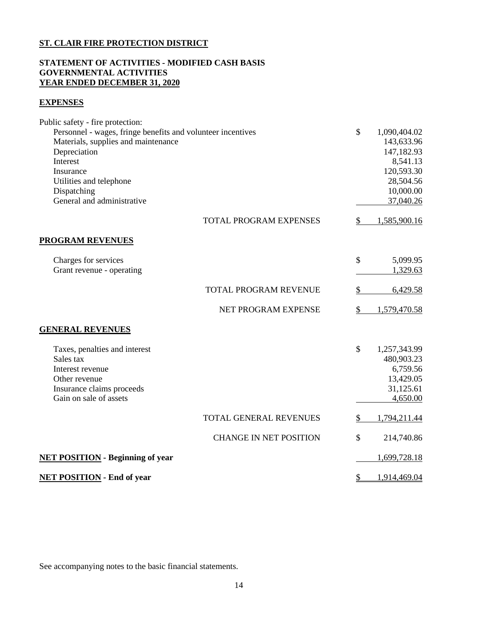# **STATEMENT OF ACTIVITIES - MODIFIED CASH BASIS GOVERNMENTAL ACTIVITIES YEAR ENDED DECEMBER 31, 2020**

# **EXPENSES**

|                               | \$                                                          | 1,090,404.02 |
|-------------------------------|-------------------------------------------------------------|--------------|
|                               |                                                             | 143,633.96   |
|                               |                                                             | 147,182.93   |
|                               |                                                             | 8,541.13     |
|                               |                                                             | 120,593.30   |
|                               |                                                             | 28,504.56    |
|                               |                                                             | 10,000.00    |
|                               |                                                             | 37,040.26    |
| <b>TOTAL PROGRAM EXPENSES</b> | \$                                                          | 1,585,900.16 |
|                               |                                                             |              |
|                               | \$                                                          | 5,099.95     |
|                               |                                                             | 1,329.63     |
| <b>TOTAL PROGRAM REVENUE</b>  | \$                                                          | 6,429.58     |
| NET PROGRAM EXPENSE           | \$                                                          | 1,579,470.58 |
|                               |                                                             |              |
|                               | \$                                                          | 1,257,343.99 |
|                               |                                                             | 480,903.23   |
|                               |                                                             | 6,759.56     |
|                               |                                                             | 13,429.05    |
|                               |                                                             | 31,125.61    |
|                               |                                                             | 4,650.00     |
| TOTAL GENERAL REVENUES        | \$                                                          | 1,794,211.44 |
| <b>CHANGE IN NET POSITION</b> | \$                                                          | 214,740.86   |
|                               |                                                             | 1,699,728.18 |
|                               | $\frac{1}{2}$                                               | 1,914,469.04 |
|                               | Personnel - wages, fringe benefits and volunteer incentives |              |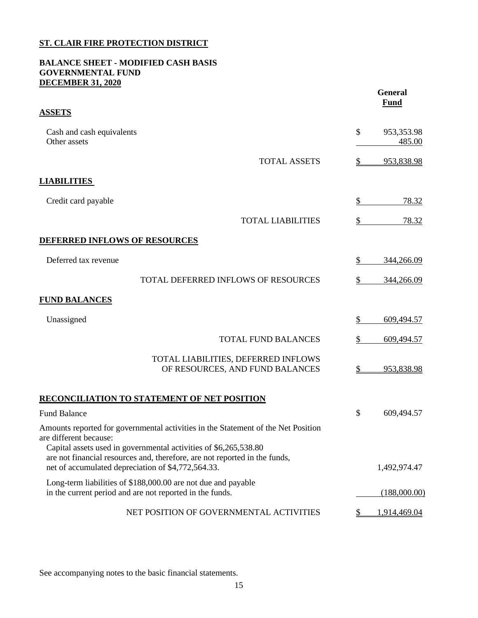# **BALANCE SHEET - MODIFIED CASH BASIS GOVERNMENTAL FUND DECEMBER 31, 2020**

|                                                                                                                                                                                                                                                                                                                     |     | <b>General</b><br><b>Fund</b> |
|---------------------------------------------------------------------------------------------------------------------------------------------------------------------------------------------------------------------------------------------------------------------------------------------------------------------|-----|-------------------------------|
| <b>ASSETS</b>                                                                                                                                                                                                                                                                                                       |     |                               |
| Cash and cash equivalents<br>Other assets                                                                                                                                                                                                                                                                           | \$  | 953,353.98<br>485.00          |
| <b>TOTAL ASSETS</b>                                                                                                                                                                                                                                                                                                 | S   | 953,838.98                    |
| <b>LIABILITIES</b>                                                                                                                                                                                                                                                                                                  |     |                               |
| Credit card payable                                                                                                                                                                                                                                                                                                 |     | 78.32                         |
| <b>TOTAL LIABILITIES</b>                                                                                                                                                                                                                                                                                            | \$  | 78.32                         |
| <b>DEFERRED INFLOWS OF RESOURCES</b>                                                                                                                                                                                                                                                                                |     |                               |
| Deferred tax revenue                                                                                                                                                                                                                                                                                                | \$  | 344,266.09                    |
| <b>TOTAL DEFERRED INFLOWS OF RESOURCES</b>                                                                                                                                                                                                                                                                          | \$  | 344,266.09                    |
| <b>FUND BALANCES</b>                                                                                                                                                                                                                                                                                                |     |                               |
| Unassigned                                                                                                                                                                                                                                                                                                          | \$  | 609,494.57                    |
| <b>TOTAL FUND BALANCES</b>                                                                                                                                                                                                                                                                                          | \$  | 609, 494.57                   |
| TOTAL LIABILITIES, DEFERRED INFLOWS<br>OF RESOURCES, AND FUND BALANCES                                                                                                                                                                                                                                              |     | 953,838.98                    |
| RECONCILIATION TO STATEMENT OF NET POSITION                                                                                                                                                                                                                                                                         |     |                               |
| <b>Fund Balance</b>                                                                                                                                                                                                                                                                                                 | \$  | 609,494.57                    |
| Amounts reported for governmental activities in the Statement of the Net Position<br>are different because:<br>Capital assets used in governmental activities of \$6,265,538.80<br>are not financial resources and, therefore, are not reported in the funds,<br>net of accumulated depreciation of \$4,772,564.33. |     | 1,492,974.47                  |
| Long-term liabilities of \$188,000.00 are not due and payable                                                                                                                                                                                                                                                       |     |                               |
| in the current period and are not reported in the funds.                                                                                                                                                                                                                                                            |     | (188,000.00)                  |
| NET POSITION OF GOVERNMENTAL ACTIVITIES                                                                                                                                                                                                                                                                             | \$. | 1,914,469.04                  |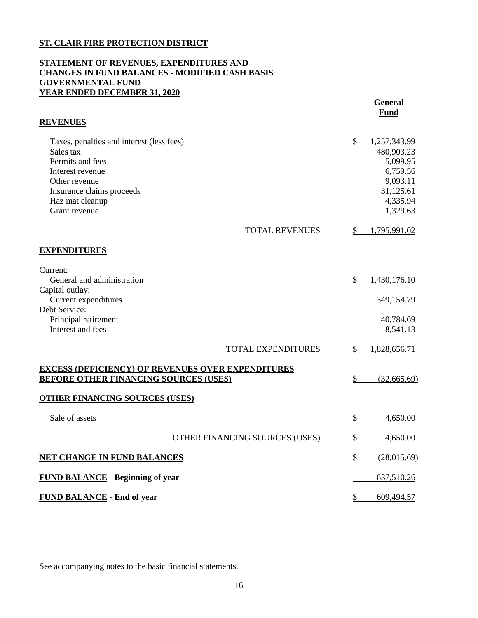# **STATEMENT OF REVENUES, EXPENDITURES AND CHANGES IN FUND BALANCES - MODIFIED CASH BASIS GOVERNMENTAL FUND YEAR ENDED DECEMBER 31, 2020**

|                                                                                                                                                                                  |               | <b>General</b><br><b>Fund</b>                                                                       |
|----------------------------------------------------------------------------------------------------------------------------------------------------------------------------------|---------------|-----------------------------------------------------------------------------------------------------|
| <b>REVENUES</b>                                                                                                                                                                  |               |                                                                                                     |
| Taxes, penalties and interest (less fees)<br>Sales tax<br>Permits and fees<br>Interest revenue<br>Other revenue<br>Insurance claims proceeds<br>Haz mat cleanup<br>Grant revenue | \$            | 1,257,343.99<br>480,903.23<br>5,099.95<br>6,759.56<br>9,093.11<br>31,125.61<br>4,335.94<br>1,329.63 |
| <b>TOTAL REVENUES</b>                                                                                                                                                            | \$            | 1,795,991.02                                                                                        |
| <b>EXPENDITURES</b>                                                                                                                                                              |               |                                                                                                     |
| Current:<br>General and administration<br>Capital outlay:                                                                                                                        | $\mathcal{S}$ | 1,430,176.10                                                                                        |
| Current expenditures<br>Debt Service:<br>Principal retirement<br>Interest and fees                                                                                               |               | 349,154.79<br>40,784.69<br>8,541.13                                                                 |
| <b>TOTAL EXPENDITURES</b>                                                                                                                                                        | \$            | 1,828,656.71                                                                                        |
| <b>EXCESS (DEFICIENCY) OF REVENUES OVER EXPENDITURES</b><br>BEFORE OTHER FINANCING SOURCES (USES)                                                                                | $\mathbb{S}$  | (32,665.69)                                                                                         |
| OTHER FINANCING SOURCES (USES)                                                                                                                                                   |               |                                                                                                     |
| Sale of assets                                                                                                                                                                   | \$            | 4,650.00                                                                                            |
| OTHER FINANCING SOURCES (USES)                                                                                                                                                   | \$            | 4,650.00                                                                                            |
| NET CHANGE IN FUND BALANCES                                                                                                                                                      | \$            | (28,015.69)                                                                                         |
| <b>FUND BALANCE - Beginning of year</b>                                                                                                                                          |               | 637,510.26                                                                                          |
| <b>FUND BALANCE</b> - End of year                                                                                                                                                | \$            | 609,494.57                                                                                          |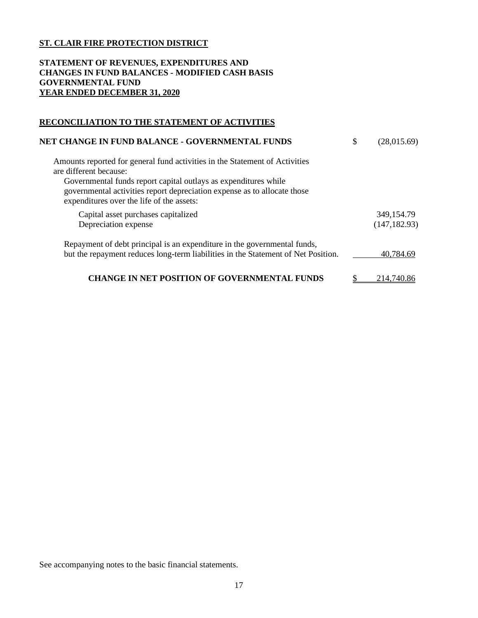## **STATEMENT OF REVENUES, EXPENDITURES AND CHANGES IN FUND BALANCES - MODIFIED CASH BASIS GOVERNMENTAL FUND YEAR ENDED DECEMBER 31, 2020**

# **RECONCILIATION TO THE STATEMENT OF ACTIVITIES**

| NET CHANGE IN FUND BALANCE - GOVERNMENTAL FUNDS                                                                                                                                                                                                                                                   | \$<br>(28,015.69)             |
|---------------------------------------------------------------------------------------------------------------------------------------------------------------------------------------------------------------------------------------------------------------------------------------------------|-------------------------------|
| Amounts reported for general fund activities in the Statement of Activities<br>are different because:<br>Governmental funds report capital outlays as expenditures while<br>governmental activities report depreciation expense as to allocate those<br>expenditures over the life of the assets: |                               |
| Capital asset purchases capitalized<br>Depreciation expense                                                                                                                                                                                                                                       | 349, 154. 79<br>(147, 182.93) |
| Repayment of debt principal is an expenditure in the governmental funds,<br>but the repayment reduces long-term liabilities in the Statement of Net Position.                                                                                                                                     | 40,784.69                     |
| <b>CHANGE IN NET POSITION OF GOVERNMENTAL FUNDS</b>                                                                                                                                                                                                                                               | 214,740.86                    |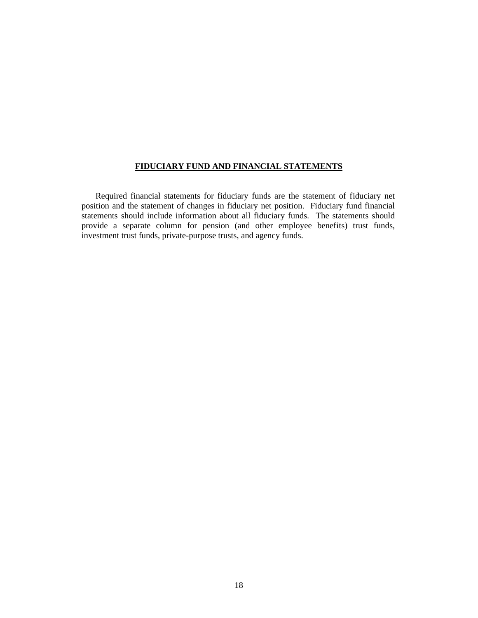# **FIDUCIARY FUND AND FINANCIAL STATEMENTS**

Required financial statements for fiduciary funds are the statement of fiduciary net position and the statement of changes in fiduciary net position. Fiduciary fund financial statements should include information about all fiduciary funds. The statements should provide a separate column for pension (and other employee benefits) trust funds, investment trust funds, private-purpose trusts, and agency funds.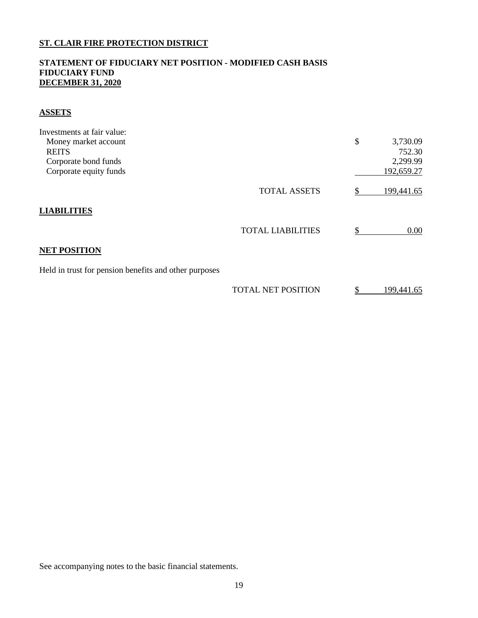# **STATEMENT OF FIDUCIARY NET POSITION - MODIFIED CASH BASIS FIDUCIARY FUND DECEMBER 31, 2020**

# **ASSETS**

| Investments at fair value:                            |                           |    |            |
|-------------------------------------------------------|---------------------------|----|------------|
| Money market account                                  |                           | \$ | 3,730.09   |
| <b>REITS</b>                                          |                           |    | 752.30     |
| Corporate bond funds                                  |                           |    | 2,299.99   |
| Corporate equity funds                                |                           |    | 192,659.27 |
|                                                       | <b>TOTAL ASSETS</b>       | S  | 199,441.65 |
| <b>LIABILITIES</b>                                    |                           |    |            |
|                                                       | <b>TOTAL LIABILITIES</b>  |    | 0.00       |
| <b>NET POSITION</b>                                   |                           |    |            |
| Held in trust for pension benefits and other purposes |                           |    |            |
|                                                       | <b>TOTAL NET POSITION</b> |    | 199,441.65 |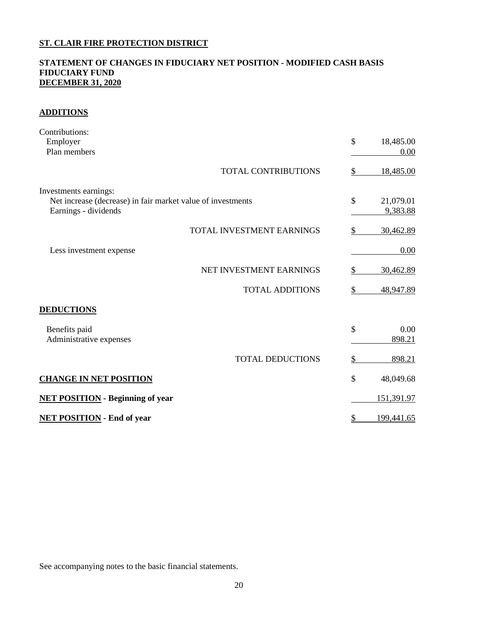## **STATEMENT OF CHANGES IN FIDUCIARY NET POSITION - MODIFIED CASH BASIS FIDUCIARY FUND DECEMBER 31, 2020**

## **ADDITIONS**

| Contributions:                                              |               |            |
|-------------------------------------------------------------|---------------|------------|
| Employer                                                    | $\mathcal{S}$ | 18,485.00  |
| Plan members                                                |               | 0.00       |
|                                                             |               |            |
| <b>TOTAL CONTRIBUTIONS</b>                                  | \$            | 18,485.00  |
| Investments earnings:                                       |               |            |
| Net increase (decrease) in fair market value of investments | \$            | 21,079.01  |
| Earnings - dividends                                        |               | 9,383.88   |
|                                                             |               |            |
| TOTAL INVESTMENT EARNINGS                                   | \$            | 30,462.89  |
| Less investment expense                                     |               | 0.00       |
| NET INVESTMENT EARNINGS                                     | \$            | 30,462.89  |
|                                                             |               |            |
| <b>TOTAL ADDITIONS</b>                                      | \$            | 48,947.89  |
| <b>DEDUCTIONS</b>                                           |               |            |
| Benefits paid                                               | $\mathcal{S}$ | 0.00       |
| Administrative expenses                                     |               | 898.21     |
|                                                             |               |            |
| <b>TOTAL DEDUCTIONS</b>                                     | \$            | 898.21     |
| <b>CHANGE IN NET POSITION</b>                               | \$            | 48,049.68  |
| <b>NET POSITION - Beginning of year</b>                     |               | 151,391.97 |
| <b>NET POSITION - End of year</b>                           | \$            | 199,441.65 |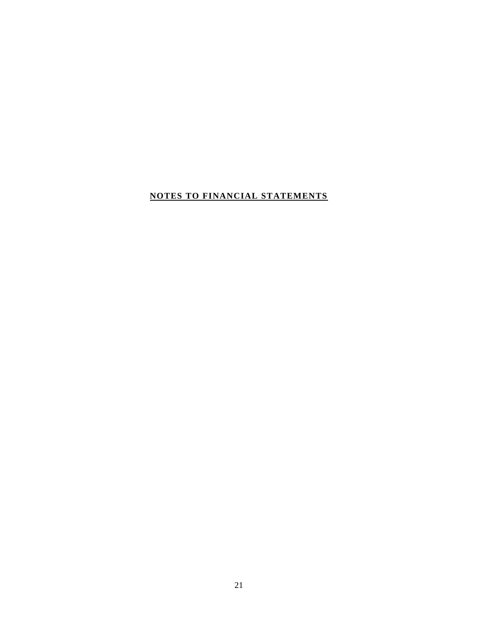# **NOTES TO FINANCIAL STATEMENTS**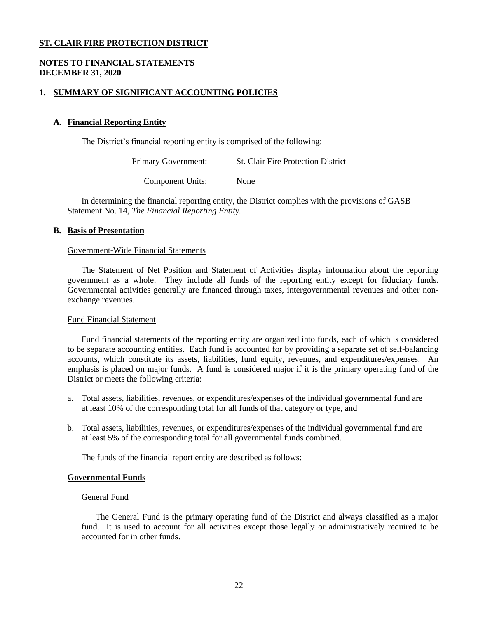### **NOTES TO FINANCIAL STATEMENTS DECEMBER 31, 2020**

## **1. SUMMARY OF SIGNIFICANT ACCOUNTING POLICIES**

### **A. Financial Reporting Entity**

The District's financial reporting entity is comprised of the following:

| <b>Primary Government:</b> | <b>St. Clair Fire Protection District</b> |
|----------------------------|-------------------------------------------|
| Component Units:           | None                                      |

In determining the financial reporting entity, the District complies with the provisions of GASB Statement No. 14, *The Financial Reporting Entity.*

#### **B. Basis of Presentation**

#### Government-Wide Financial Statements

The Statement of Net Position and Statement of Activities display information about the reporting government as a whole. They include all funds of the reporting entity except for fiduciary funds. Governmental activities generally are financed through taxes, intergovernmental revenues and other nonexchange revenues.

#### Fund Financial Statement

Fund financial statements of the reporting entity are organized into funds, each of which is considered to be separate accounting entities. Each fund is accounted for by providing a separate set of self-balancing accounts, which constitute its assets, liabilities, fund equity, revenues, and expenditures/expenses. An emphasis is placed on major funds. A fund is considered major if it is the primary operating fund of the District or meets the following criteria:

- a. Total assets, liabilities, revenues, or expenditures/expenses of the individual governmental fund are at least 10% of the corresponding total for all funds of that category or type, and
- b. Total assets, liabilities, revenues, or expenditures/expenses of the individual governmental fund are at least 5% of the corresponding total for all governmental funds combined.

The funds of the financial report entity are described as follows:

#### **Governmental Funds**

#### General Fund

The General Fund is the primary operating fund of the District and always classified as a major fund. It is used to account for all activities except those legally or administratively required to be accounted for in other funds.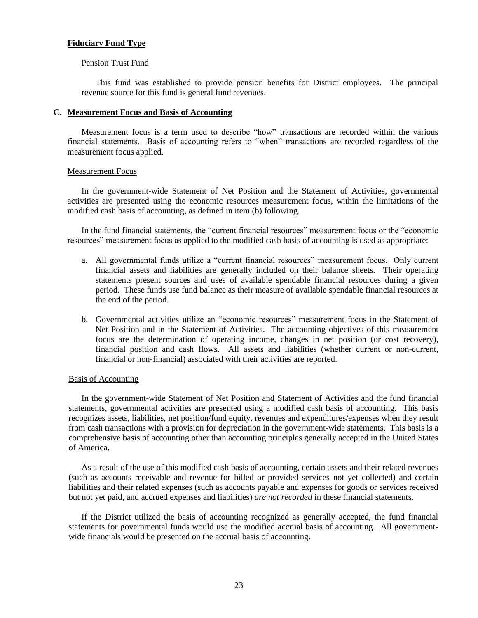### **Fiduciary Fund Type**

#### Pension Trust Fund

This fund was established to provide pension benefits for District employees. The principal revenue source for this fund is general fund revenues.

#### **C. Measurement Focus and Basis of Accounting**

Measurement focus is a term used to describe "how" transactions are recorded within the various financial statements. Basis of accounting refers to "when" transactions are recorded regardless of the measurement focus applied.

#### Measurement Focus

In the government-wide Statement of Net Position and the Statement of Activities, governmental activities are presented using the economic resources measurement focus, within the limitations of the modified cash basis of accounting, as defined in item (b) following.

In the fund financial statements, the "current financial resources" measurement focus or the "economic resources" measurement focus as applied to the modified cash basis of accounting is used as appropriate:

- a. All governmental funds utilize a "current financial resources" measurement focus. Only current financial assets and liabilities are generally included on their balance sheets. Their operating statements present sources and uses of available spendable financial resources during a given period. These funds use fund balance as their measure of available spendable financial resources at the end of the period.
- b. Governmental activities utilize an "economic resources" measurement focus in the Statement of Net Position and in the Statement of Activities. The accounting objectives of this measurement focus are the determination of operating income, changes in net position (or cost recovery), financial position and cash flows. All assets and liabilities (whether current or non-current, financial or non-financial) associated with their activities are reported.

#### Basis of Accounting

In the government-wide Statement of Net Position and Statement of Activities and the fund financial statements, governmental activities are presented using a modified cash basis of accounting. This basis recognizes assets, liabilities, net position/fund equity, revenues and expenditures/expenses when they result from cash transactions with a provision for depreciation in the government-wide statements. This basis is a comprehensive basis of accounting other than accounting principles generally accepted in the United States of America.

As a result of the use of this modified cash basis of accounting, certain assets and their related revenues (such as accounts receivable and revenue for billed or provided services not yet collected) and certain liabilities and their related expenses (such as accounts payable and expenses for goods or services received but not yet paid, and accrued expenses and liabilities) *are not recorded* in these financial statements.

If the District utilized the basis of accounting recognized as generally accepted, the fund financial statements for governmental funds would use the modified accrual basis of accounting. All governmentwide financials would be presented on the accrual basis of accounting.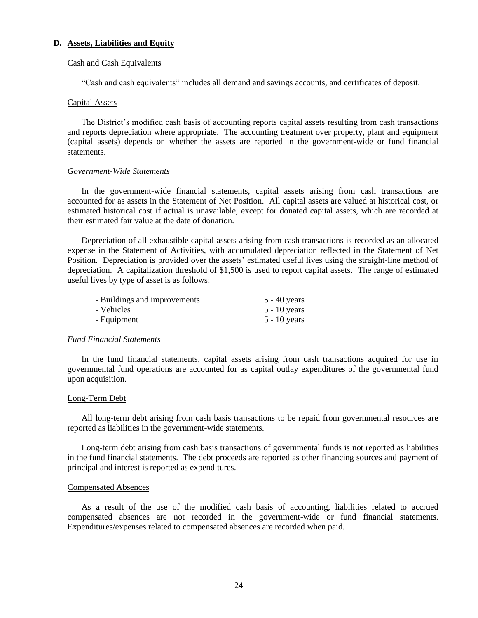#### **D. Assets, Liabilities and Equity**

#### Cash and Cash Equivalents

"Cash and cash equivalents" includes all demand and savings accounts, and certificates of deposit.

#### Capital Assets

The District's modified cash basis of accounting reports capital assets resulting from cash transactions and reports depreciation where appropriate. The accounting treatment over property, plant and equipment (capital assets) depends on whether the assets are reported in the government-wide or fund financial statements.

#### *Government-Wide Statements*

In the government-wide financial statements, capital assets arising from cash transactions are accounted for as assets in the Statement of Net Position. All capital assets are valued at historical cost, or estimated historical cost if actual is unavailable, except for donated capital assets, which are recorded at their estimated fair value at the date of donation.

Depreciation of all exhaustible capital assets arising from cash transactions is recorded as an allocated expense in the Statement of Activities, with accumulated depreciation reflected in the Statement of Net Position. Depreciation is provided over the assets' estimated useful lives using the straight-line method of depreciation. A capitalization threshold of \$1,500 is used to report capital assets. The range of estimated useful lives by type of asset is as follows:

| - Buildings and improvements | $5 - 40$ years |
|------------------------------|----------------|
| - Vehicles                   | $5 - 10$ years |
| - Equipment                  | $5 - 10$ years |

#### *Fund Financial Statements*

In the fund financial statements, capital assets arising from cash transactions acquired for use in governmental fund operations are accounted for as capital outlay expenditures of the governmental fund upon acquisition.

### Long-Term Debt

All long-term debt arising from cash basis transactions to be repaid from governmental resources are reported as liabilities in the government-wide statements.

Long-term debt arising from cash basis transactions of governmental funds is not reported as liabilities in the fund financial statements. The debt proceeds are reported as other financing sources and payment of principal and interest is reported as expenditures.

#### Compensated Absences

As a result of the use of the modified cash basis of accounting, liabilities related to accrued compensated absences are not recorded in the government-wide or fund financial statements. Expenditures/expenses related to compensated absences are recorded when paid.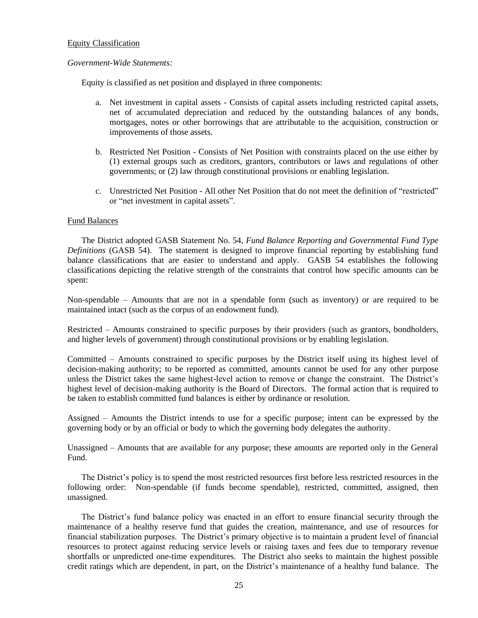### Equity Classification

#### *Government-Wide Statements:*

Equity is classified as net position and displayed in three components:

- a. Net investment in capital assets Consists of capital assets including restricted capital assets, net of accumulated depreciation and reduced by the outstanding balances of any bonds, mortgages, notes or other borrowings that are attributable to the acquisition, construction or improvements of those assets.
- b. Restricted Net Position Consists of Net Position with constraints placed on the use either by (1) external groups such as creditors, grantors, contributors or laws and regulations of other governments; or (2) law through constitutional provisions or enabling legislation.
- c. Unrestricted Net Position All other Net Position that do not meet the definition of "restricted" or "net investment in capital assets".

### Fund Balances

The District adopted GASB Statement No. 54, *Fund Balance Reporting and Governmental Fund Type Definitions* (GASB 54). The statement is designed to improve financial reporting by establishing fund balance classifications that are easier to understand and apply. GASB 54 establishes the following classifications depicting the relative strength of the constraints that control how specific amounts can be spent:

Non-spendable – Amounts that are not in a spendable form (such as inventory) or are required to be maintained intact (such as the corpus of an endowment fund).

Restricted – Amounts constrained to specific purposes by their providers (such as grantors, bondholders, and higher levels of government) through constitutional provisions or by enabling legislation.

Committed – Amounts constrained to specific purposes by the District itself using its highest level of decision-making authority; to be reported as committed, amounts cannot be used for any other purpose unless the District takes the same highest-level action to remove or change the constraint. The District's highest level of decision-making authority is the Board of Directors. The formal action that is required to be taken to establish committed fund balances is either by ordinance or resolution.

Assigned – Amounts the District intends to use for a specific purpose; intent can be expressed by the governing body or by an official or body to which the governing body delegates the authority.

Unassigned – Amounts that are available for any purpose; these amounts are reported only in the General Fund.

The District's policy is to spend the most restricted resources first before less restricted resources in the following order: Non-spendable (if funds become spendable), restricted, committed, assigned, then unassigned.

The District's fund balance policy was enacted in an effort to ensure financial security through the maintenance of a healthy reserve fund that guides the creation, maintenance, and use of resources for financial stabilization purposes. The District's primary objective is to maintain a prudent level of financial resources to protect against reducing service levels or raising taxes and fees due to temporary revenue shortfalls or unpredicted one-time expenditures. The District also seeks to maintain the highest possible credit ratings which are dependent, in part, on the District's maintenance of a healthy fund balance. The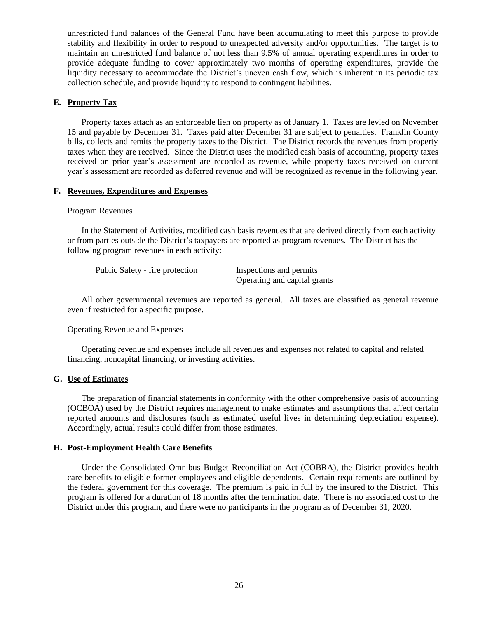unrestricted fund balances of the General Fund have been accumulating to meet this purpose to provide stability and flexibility in order to respond to unexpected adversity and/or opportunities. The target is to maintain an unrestricted fund balance of not less than 9.5% of annual operating expenditures in order to provide adequate funding to cover approximately two months of operating expenditures, provide the liquidity necessary to accommodate the District's uneven cash flow, which is inherent in its periodic tax collection schedule, and provide liquidity to respond to contingent liabilities.

# **E. Property Tax**

Property taxes attach as an enforceable lien on property as of January 1. Taxes are levied on November 15 and payable by December 31. Taxes paid after December 31 are subject to penalties. Franklin County bills, collects and remits the property taxes to the District. The District records the revenues from property taxes when they are received. Since the District uses the modified cash basis of accounting, property taxes received on prior year's assessment are recorded as revenue, while property taxes received on current year's assessment are recorded as deferred revenue and will be recognized as revenue in the following year.

### **F. Revenues, Expenditures and Expenses**

### Program Revenues

In the Statement of Activities, modified cash basis revenues that are derived directly from each activity or from parties outside the District's taxpayers are reported as program revenues. The District has the following program revenues in each activity:

| Public Safety - fire protection | Inspections and permits      |
|---------------------------------|------------------------------|
|                                 | Operating and capital grants |

All other governmental revenues are reported as general. All taxes are classified as general revenue even if restricted for a specific purpose.

### Operating Revenue and Expenses

Operating revenue and expenses include all revenues and expenses not related to capital and related financing, noncapital financing, or investing activities.

### **G. Use of Estimates**

The preparation of financial statements in conformity with the other comprehensive basis of accounting (OCBOA) used by the District requires management to make estimates and assumptions that affect certain reported amounts and disclosures (such as estimated useful lives in determining depreciation expense). Accordingly, actual results could differ from those estimates.

### **H. Post-Employment Health Care Benefits**

Under the Consolidated Omnibus Budget Reconciliation Act (COBRA), the District provides health care benefits to eligible former employees and eligible dependents. Certain requirements are outlined by the federal government for this coverage. The premium is paid in full by the insured to the District. This program is offered for a duration of 18 months after the termination date. There is no associated cost to the District under this program, and there were no participants in the program as of December 31, 2020.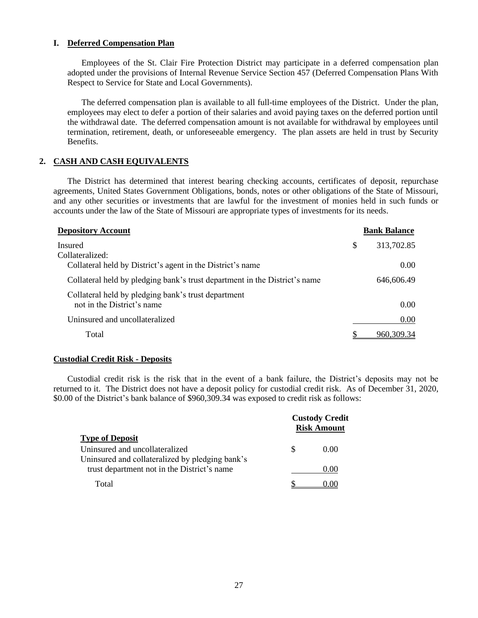### **I. Deferred Compensation Plan**

Employees of the St. Clair Fire Protection District may participate in a deferred compensation plan adopted under the provisions of Internal Revenue Service Section 457 (Deferred Compensation Plans With Respect to Service for State and Local Governments).

The deferred compensation plan is available to all full-time employees of the District. Under the plan, employees may elect to defer a portion of their salaries and avoid paying taxes on the deferred portion until the withdrawal date. The deferred compensation amount is not available for withdrawal by employees until termination, retirement, death, or unforeseeable emergency. The plan assets are held in trust by Security Benefits.

# **2. CASH AND CASH EQUIVALENTS**

The District has determined that interest bearing checking accounts, certificates of deposit, repurchase agreements, United States Government Obligations, bonds, notes or other obligations of the State of Missouri, and any other securities or investments that are lawful for the investment of monies held in such funds or accounts under the law of the State of Missouri are appropriate types of investments for its needs.

| <b>Depository Account</b>                                                  |   | <b>Bank Balance</b> |
|----------------------------------------------------------------------------|---|---------------------|
| Insured                                                                    | S | 313,702.85          |
| Collateralized:                                                            |   |                     |
| Collateral held by District's agent in the District's name                 |   | 0.00                |
| Collateral held by pledging bank's trust department in the District's name |   | 646,606.49          |
| Collateral held by pledging bank's trust department                        |   |                     |
| not in the District's name                                                 |   | 0.00                |
| Uninsured and uncollateralized                                             |   | 0.00                |
| Total                                                                      |   | 960,309.34          |

#### **Custodial Credit Risk - Deposits**

Custodial credit risk is the risk that in the event of a bank failure, the District's deposits may not be returned to it. The District does not have a deposit policy for custodial credit risk. As of December 31, 2020, \$0.00 of the District's bank balance of \$960,309.34 was exposed to credit risk as follows:

|                                                 | <b>Custody Credit</b><br><b>Risk Amount</b> |      |  |  |
|-------------------------------------------------|---------------------------------------------|------|--|--|
| <b>Type of Deposit</b>                          |                                             |      |  |  |
| Uninsured and uncollateralized                  |                                             | 0.00 |  |  |
| Uninsured and collateralized by pledging bank's |                                             |      |  |  |
| trust department not in the District's name     |                                             | 0.00 |  |  |
| Total                                           |                                             |      |  |  |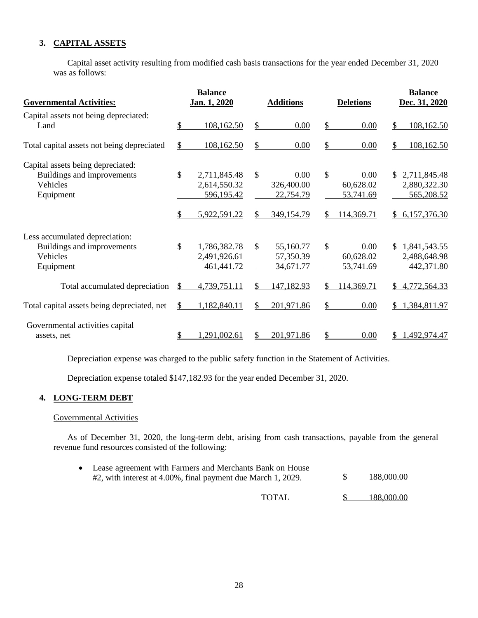# **3. CAPITAL ASSETS**

Capital asset activity resulting from modified cash basis transactions for the year ended December 31, 2020 was as follows:

| <b>Governmental Activities:</b>                                                          |              | <b>Balance</b><br>Jan. 1, 2020             |              | <b>Additions</b>                    |               | <b>Deletions</b>               | <b>Balance</b><br>Dec. 31, 2020 |                                            |
|------------------------------------------------------------------------------------------|--------------|--------------------------------------------|--------------|-------------------------------------|---------------|--------------------------------|---------------------------------|--------------------------------------------|
| Capital assets not being depreciated:<br>Land                                            | \$           | 108,162.50                                 | \$           | 0.00                                | \$            | 0.00                           | \$                              | 108,162.50                                 |
| Total capital assets not being depreciated                                               | \$.          | 108,162.50                                 | \$           | 0.00                                | \$            | 0.00                           | \$.                             | 108,162.50                                 |
| Capital assets being depreciated:<br>Buildings and improvements<br>Vehicles<br>Equipment | \$           | 2,711,845.48<br>2,614,550.32<br>596,195.42 | $\mathbb{S}$ | 0.00<br>326,400.00<br>22,754.79     | $\mathcal{S}$ | 0.00<br>60,628.02<br>53,741.69 | S.                              | 2,711,845.48<br>2,880,322.30<br>565,208.52 |
|                                                                                          | \$           | 5,922,591.22                               | S.           | 349,154.79                          | S.            | 114,369.71                     | <sup>\$</sup>                   | 6,157,376.30                               |
| Less accumulated depreciation:<br>Buildings and improvements<br>Vehicles<br>Equipment    | \$           | 1,786,382.78<br>2,491,926.61<br>461,441.72 | \$           | 55,160.77<br>57,350.39<br>34,671.77 | $\mathbf{\$}$ | 0.00<br>60,628.02<br>53,741.69 | S.                              | 1,841,543.55<br>2,488,648.98<br>442,371.80 |
| Total accumulated depreciation                                                           | \$           | 4,739,751.11                               | S            | 147,182.93                          | \$.           | 114,369.71                     |                                 | \$4,772,564.33                             |
| Total capital assets being depreciated, net                                              | $\mathbb{S}$ | 1,182,840.11                               | S            | 201,971.86                          | \$            | 0.00                           | \$.                             | 1,384,811.97                               |
| Governmental activities capital<br>assets, net                                           | \$           | .291,002.61                                |              | 201,971.86                          | \$            | 0.00                           |                                 | 1,492,974.47                               |

Depreciation expense was charged to the public safety function in the Statement of Activities.

Depreciation expense totaled \$147,182.93 for the year ended December 31, 2020.

### **4. LONG-TERM DEBT**

#### Governmental Activities

As of December 31, 2020, the long-term debt, arising from cash transactions, payable from the general revenue fund resources consisted of the following:

| • Lease agreement with Farmers and Merchants Bank on House<br>#2, with interest at 4.00%, final payment due March 1, 2029. | 188,000.00 |
|----------------------------------------------------------------------------------------------------------------------------|------------|
| TOTAL                                                                                                                      | 188,000.00 |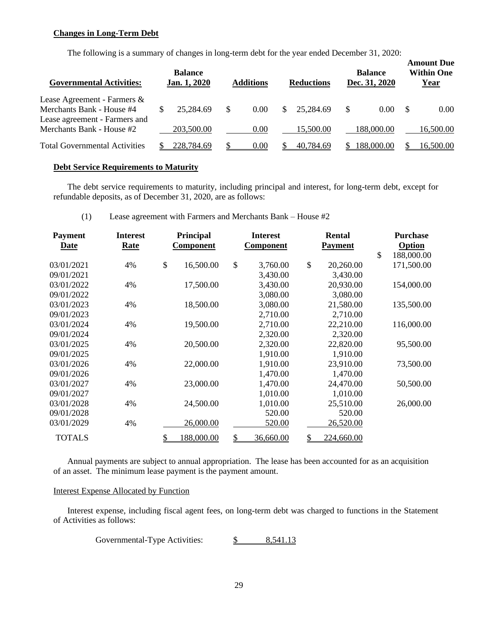#### **Changes in Long-Term Debt**

The following is a summary of changes in long-term debt for the year ended December 31, 2020:

| <b>Governmental Activities:</b>                            |  | <b>Balance</b><br>Jan. 1, 2020 | <b>Additions</b><br><b>Reductions</b> |      |    |           | <b>Balance</b><br>Dec. 31, 2020 |            | <b>Amount Due</b><br><b>Within One</b><br><u>Year</u> |           |
|------------------------------------------------------------|--|--------------------------------|---------------------------------------|------|----|-----------|---------------------------------|------------|-------------------------------------------------------|-----------|
| Lease Agreement - Farmers &<br>Merchants Bank - House #4   |  | 25,284.69                      | S                                     | 0.00 | S. | 25.284.69 | \$.                             | 0.00       | S                                                     | 0.00      |
| Lease agreement - Farmers and<br>Merchants Bank - House #2 |  | 203,500.00                     |                                       | 0.00 |    | 15,500.00 |                                 | 188,000.00 |                                                       | 16.500.00 |
| <b>Total Governmental Activities</b>                       |  | 228,784.69                     |                                       | 0.00 |    | 40,784.69 |                                 | 188,000.00 |                                                       | 16,500.00 |

### **Debt Service Requirements to Maturity**

The debt service requirements to maturity, including principal and interest, for long-term debt, except for refundable deposits, as of December 31, 2020, are as follows:

(1) Lease agreement with Farmers and Merchants Bank – House #2

| <b>Payment</b><br><b>Date</b> | <b>Principal</b><br><b>Interest</b><br><b>Interest</b><br><b>Rate</b><br><b>Component</b><br><b>Component</b> |           |            | <b>Rental</b><br><b>Payment</b> | <b>Purchase</b><br>Option |            |                  |
|-------------------------------|---------------------------------------------------------------------------------------------------------------|-----------|------------|---------------------------------|---------------------------|------------|------------------|
|                               |                                                                                                               |           |            |                                 |                           |            | \$<br>188,000.00 |
| 03/01/2021                    | 4%                                                                                                            | \$        | 16,500.00  | \$<br>3,760.00                  | \$                        | 20,260.00  | 171,500.00       |
| 09/01/2021                    |                                                                                                               |           |            | 3,430.00                        |                           | 3,430.00   |                  |
| 03/01/2022                    | 4%                                                                                                            |           | 17,500.00  | 3,430.00                        |                           | 20,930.00  | 154,000.00       |
| 09/01/2022                    |                                                                                                               |           |            | 3,080.00                        |                           | 3,080.00   |                  |
| 03/01/2023                    | 4%                                                                                                            |           | 18,500.00  | 3,080.00                        |                           | 21,580.00  | 135,500.00       |
| 09/01/2023                    |                                                                                                               |           |            | 2,710.00                        |                           | 2,710.00   |                  |
| 03/01/2024                    | 4%                                                                                                            |           | 19,500.00  | 2,710.00                        |                           | 22,210.00  | 116,000.00       |
| 09/01/2024                    |                                                                                                               |           |            | 2,320.00                        |                           | 2,320.00   |                  |
| 03/01/2025                    | 4%                                                                                                            |           | 20,500.00  | 2,320.00                        |                           | 22,820.00  | 95,500.00        |
| 09/01/2025                    |                                                                                                               |           |            | 1,910.00                        |                           | 1,910.00   |                  |
| 03/01/2026                    | 4%                                                                                                            |           | 22,000.00  | 1,910.00                        |                           | 23,910.00  | 73,500.00        |
| 09/01/2026                    |                                                                                                               |           |            | 1,470.00                        |                           | 1,470.00   |                  |
| 03/01/2027                    | 4%                                                                                                            |           | 23,000.00  | 1,470.00                        |                           | 24,470.00  | 50,500.00        |
| 09/01/2027                    |                                                                                                               |           |            | 1,010.00                        |                           | 1,010.00   |                  |
| 03/01/2028                    | 4%                                                                                                            |           | 24,500.00  | 1,010.00                        |                           | 25,510.00  | 26,000.00        |
| 09/01/2028                    |                                                                                                               |           |            | 520.00                          |                           | 520.00     |                  |
| 03/01/2029                    | 4%                                                                                                            |           | 26,000.00  | 520.00                          |                           | 26,520.00  |                  |
| <b>TOTALS</b>                 |                                                                                                               | <u>\$</u> | 188,000.00 | \$<br>36,660.00                 | $\frac{1}{2}$             | 224,660.00 |                  |

Annual payments are subject to annual appropriation. The lease has been accounted for as an acquisition of an asset. The minimum lease payment is the payment amount.

### Interest Expense Allocated by Function

Interest expense, including fiscal agent fees, on long-term debt was charged to functions in the Statement of Activities as follows:

Governmental-Type Activities:  $\frac{\$}{2}$  8,541.13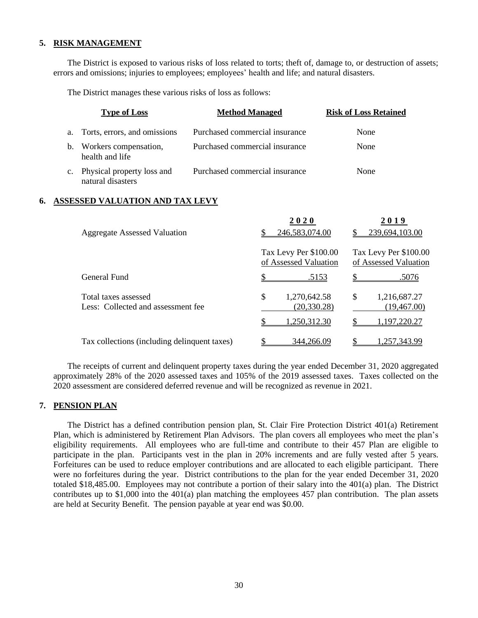# **5. RISK MANAGEMENT**

The District is exposed to various risks of loss related to torts; theft of, damage to, or destruction of assets; errors and omissions; injuries to employees; employees' health and life; and natural disasters.

The District manages these various risks of loss as follows:

|    | <b>Type of Loss</b>                                | <b>Method Managed</b>          | <b>Risk of Loss Retained</b> |
|----|----------------------------------------------------|--------------------------------|------------------------------|
| a. | Torts, errors, and omissions                       | Purchased commercial insurance | None                         |
| b. | Workers compensation,<br>health and life           | Purchased commercial insurance | None                         |
|    | c. Physical property loss and<br>natural disasters | Purchased commercial insurance | None                         |

### **6. ASSESSED VALUATION AND TAX LEVY**

|                                              | 2020                  | 2019                  |  |  |  |
|----------------------------------------------|-----------------------|-----------------------|--|--|--|
| <b>Aggregate Assessed Valuation</b>          | 246,583,074.00        | 239,694,103.00        |  |  |  |
|                                              | Tax Levy Per \$100.00 | Tax Levy Per \$100.00 |  |  |  |
|                                              | of Assessed Valuation | of Assessed Valuation |  |  |  |
| General Fund                                 | .5153                 | .5076                 |  |  |  |
| Total taxes assessed                         | \$<br>1,270,642.58    | S<br>1,216,687.27     |  |  |  |
| Less: Collected and assessment fee           | (20, 330.28)          | (19, 467.00)          |  |  |  |
|                                              | .250,312.30           | .197,220.27           |  |  |  |
| Tax collections (including delinquent taxes) | 344,266.09            | .257.343.99           |  |  |  |

The receipts of current and delinquent property taxes during the year ended December 31, 2020 aggregated approximately 28% of the 2020 assessed taxes and 105% of the 2019 assessed taxes. Taxes collected on the 2020 assessment are considered deferred revenue and will be recognized as revenue in 2021.

### **7. PENSION PLAN**

The District has a defined contribution pension plan, St. Clair Fire Protection District 401(a) Retirement Plan, which is administered by Retirement Plan Advisors. The plan covers all employees who meet the plan's eligibility requirements. All employees who are full-time and contribute to their 457 Plan are eligible to participate in the plan. Participants vest in the plan in 20% increments and are fully vested after 5 years. Forfeitures can be used to reduce employer contributions and are allocated to each eligible participant. There were no forfeitures during the year. District contributions to the plan for the year ended December 31, 2020 totaled \$18,485.00. Employees may not contribute a portion of their salary into the 401(a) plan. The District contributes up to \$1,000 into the 401(a) plan matching the employees 457 plan contribution. The plan assets are held at Security Benefit. The pension payable at year end was \$0.00.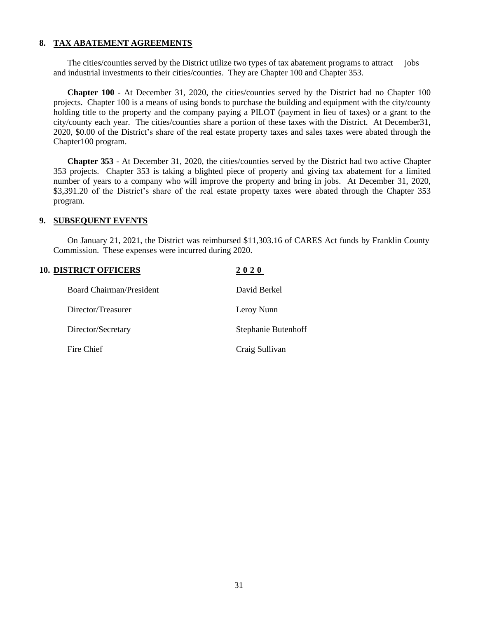# **8. TAX ABATEMENT AGREEMENTS**

The cities/counties served by the District utilize two types of tax abatement programs to attract jobs and industrial investments to their cities/counties. They are Chapter 100 and Chapter 353.

**Chapter 100** - At December 31, 2020, the cities/counties served by the District had no Chapter 100 projects. Chapter 100 is a means of using bonds to purchase the building and equipment with the city/county holding title to the property and the company paying a PILOT (payment in lieu of taxes) or a grant to the city/county each year. The cities/counties share a portion of these taxes with the District. At December31, 2020, \$0.00 of the District's share of the real estate property taxes and sales taxes were abated through the Chapter100 program.

**Chapter 353** - At December 31, 2020, the cities/counties served by the District had two active Chapter 353 projects. Chapter 353 is taking a blighted piece of property and giving tax abatement for a limited number of years to a company who will improve the property and bring in jobs. At December 31, 2020, \$3,391.20 of the District's share of the real estate property taxes were abated through the Chapter 353 program.

### **9. SUBSEQUENT EVENTS**

On January 21, 2021, the District was reimbursed \$11,303.16 of CARES Act funds by Franklin County Commission. These expenses were incurred during 2020.

| <b>10. DISTRICT OFFICERS</b>    | 2020                |
|---------------------------------|---------------------|
| <b>Board Chairman/President</b> | David Berkel        |
| Director/Treasurer              | Leroy Nunn          |
| Director/Secretary              | Stephanie Butenhoff |
| Fire Chief                      | Craig Sullivan      |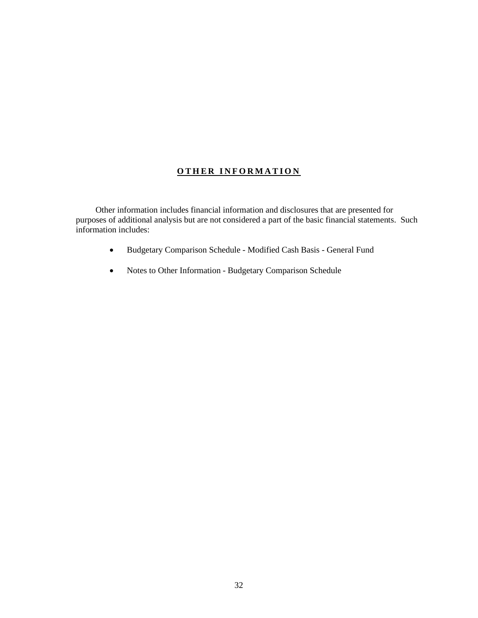# **OTHER INFORMATION**

Other information includes financial information and disclosures that are presented for purposes of additional analysis but are not considered a part of the basic financial statements. Such information includes:

- Budgetary Comparison Schedule Modified Cash Basis General Fund
- Notes to Other Information Budgetary Comparison Schedule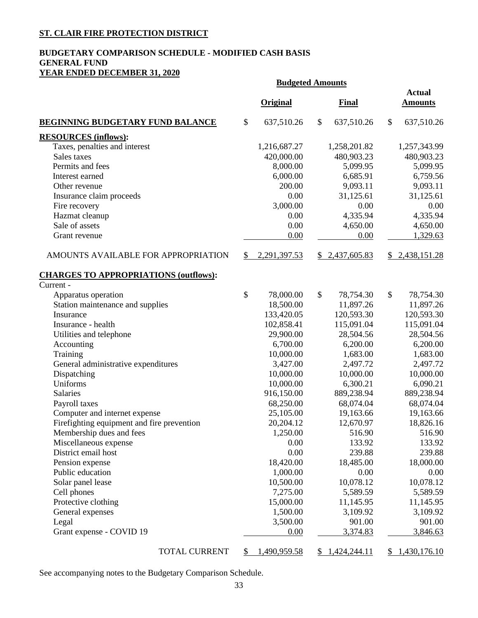# **BUDGETARY COMPARISON SCHEDULE - MODIFIED CASH BASIS GENERAL FUND YEAR ENDED DECEMBER 31, 2020**

|                                              |                           |               |              | <b>Actual</b>      |
|----------------------------------------------|---------------------------|---------------|--------------|--------------------|
|                                              | Original                  |               | Final        | <b>Amounts</b>     |
| <b>BEGINNING BUDGETARY FUND BALANCE</b>      | \$<br>637,510.26          | $\mathcal{S}$ | 637,510.26   | \$<br>637,510.26   |
| <b>RESOURCES</b> (inflows):                  |                           |               |              |                    |
| Taxes, penalties and interest                | 1,216,687.27              |               | 1,258,201.82 | 1,257,343.99       |
| Sales taxes                                  | 420,000.00                |               | 480,903.23   | 480,903.23         |
| Permits and fees                             | 8,000.00                  |               | 5,099.95     | 5,099.95           |
| Interest earned                              | 6,000.00                  |               | 6,685.91     | 6,759.56           |
| Other revenue                                | 200.00                    |               | 9,093.11     | 9,093.11           |
| Insurance claim proceeds                     | 0.00                      |               | 31,125.61    | 31,125.61          |
| Fire recovery                                | 3,000.00                  |               | 0.00         | 0.00               |
| Hazmat cleanup                               | 0.00                      |               | 4,335.94     | 4,335.94           |
| Sale of assets                               | 0.00                      |               | 4,650.00     | 4,650.00           |
| Grant revenue                                | 0.00                      |               | 0.00         | 1,329.63           |
| AMOUNTS AVAILABLE FOR APPROPRIATION          | \$<br>2,291,397.53        | \$.           | 2,437,605.83 | \$<br>2,438,151.28 |
| <b>CHARGES TO APPROPRIATIONS (outflows):</b> |                           |               |              |                    |
| Current -                                    |                           |               |              |                    |
| Apparatus operation                          | \$<br>78,000.00           | $\mathcal{S}$ | 78,754.30    | \$<br>78,754.30    |
| Station maintenance and supplies             | 18,500.00                 |               | 11,897.26    | 11,897.26          |
| Insurance                                    | 133,420.05                |               | 120,593.30   | 120,593.30         |
| Insurance - health                           | 102,858.41                |               | 115,091.04   | 115,091.04         |
| Utilities and telephone                      | 29,900.00                 |               | 28,504.56    | 28,504.56          |
| Accounting                                   | 6,700.00                  |               | 6,200.00     | 6,200.00           |
| Training                                     | 10,000.00                 |               | 1,683.00     | 1,683.00           |
| General administrative expenditures          | 3,427.00                  |               | 2,497.72     | 2,497.72           |
| Dispatching                                  | 10,000.00                 |               | 10,000.00    | 10,000.00          |
| Uniforms                                     | 10,000.00                 |               | 6,300.21     | 6,090.21           |
| <b>Salaries</b>                              | 916,150.00                |               | 889,238.94   | 889,238.94         |
| Payroll taxes                                | 68,250.00                 |               | 68,074.04    | 68,074.04          |
| Computer and internet expense                | 25,105.00                 |               | 19,163.66    | 19,163.66          |
| Firefighting equipment and fire prevention   | 20,204.12                 |               | 12,670.97    | 18,826.16          |
| Membership dues and fees                     | 1,250.00                  |               | 516.90       | 516.90             |
| Miscellaneous expense                        | 0.00                      |               | 133.92       | 133.92             |
| District email host                          | 0.00                      |               | 239.88       | 239.88             |
| Pension expense                              | 18,420.00                 |               | 18,485.00    | 18,000.00          |
| Public education                             | 1,000.00                  |               | 0.00         | 0.00               |
| Solar panel lease                            | 10,500.00                 |               | 10,078.12    | 10,078.12          |
| Cell phones                                  | 7,275.00                  |               | 5,589.59     | 5,589.59           |
| Protective clothing                          | 15,000.00                 |               | 11,145.95    | 11,145.95          |
| General expenses                             | 1,500.00                  |               | 3,109.92     | 3,109.92           |
| Legal                                        | 3,500.00                  |               | 901.00       | 901.00             |
| Grant expense - COVID 19                     | 0.00                      |               | 3,374.83     | 3,846.63           |
| <b>TOTAL CURRENT</b>                         | \$<br><u>1,490,959.58</u> | \$            | 1,424,244.11 | \$1,430,176.10     |

**Budgeted Amounts**

See accompanying notes to the Budgetary Comparison Schedule.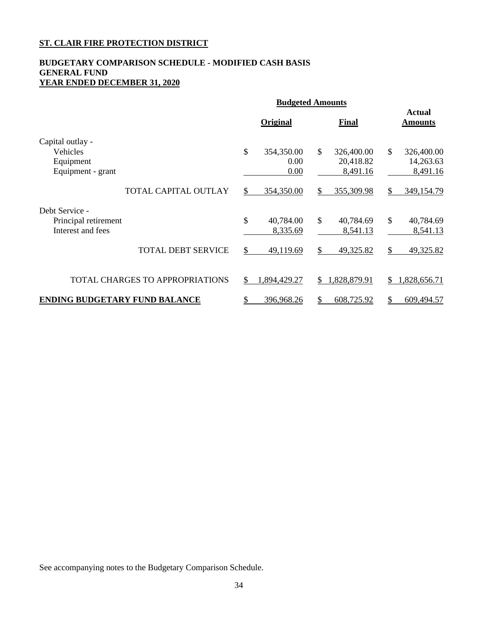# **BUDGETARY COMPARISON SCHEDULE - MODIFIED CASH BASIS GENERAL FUND YEAR ENDED DECEMBER 31, 2020**

|                                      | <b>Budgeted Amounts</b> |                     |                                 |
|--------------------------------------|-------------------------|---------------------|---------------------------------|
|                                      | Original                | <b>Final</b>        | <b>Actual</b><br><b>Amounts</b> |
| Capital outlay -                     |                         |                     |                                 |
| Vehicles                             | \$<br>354,350.00        | \$<br>326,400.00    | $\mathbb{S}$<br>326,400.00      |
| Equipment                            | 0.00                    | 20,418.82           | 14,263.63                       |
| Equipment - grant                    | 0.00                    | 8,491.16            | 8,491.16                        |
| <b>TOTAL CAPITAL OUTLAY</b>          | 354,350.00<br>\$.       | 355,309.98<br>\$    | \$<br>349,154.79                |
| Debt Service -                       |                         |                     |                                 |
| Principal retirement                 | \$<br>40,784.00         | \$<br>40,784.69     | $\mathbb{S}$<br>40,784.69       |
| Interest and fees                    | 8,335.69                | 8,541.13            | 8,541.13                        |
| <b>TOTAL DEBT SERVICE</b>            | \$<br>49,119.69         | \$<br>49,325.82     | 49,325.82<br>\$                 |
| TOTAL CHARGES TO APPROPRIATIONS      | \$<br>1,894,429.27      | 1,828,879.91<br>\$. | 1,828,656.71<br>\$.             |
| <b>ENDING BUDGETARY FUND BALANCE</b> | 396,968.26              | 608,725.92          | 609,494.57                      |

See accompanying notes to the Budgetary Comparison Schedule.